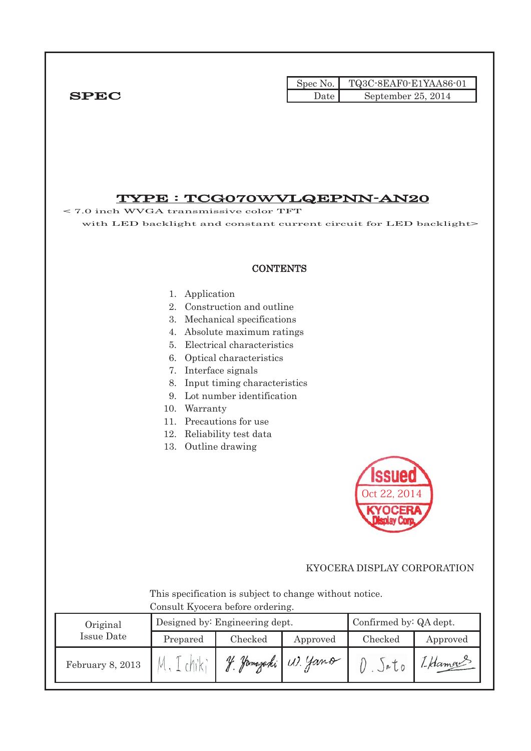|             |        | Spec No. $\vert$ TQ3C-8EAF0-E1YAA86-01 |
|-------------|--------|----------------------------------------|
| <b>SPEC</b> | Date I | September $25, 2014$                   |

# TYPE : TCG070㹕VLQEPNN-AN20

< 7.0 inch WVGA transmissive color TFT with LED backlight and constant current circuit for LED backlight>

#### **CONTENTS**

- 1. Application
- 2. Construction and outline
- 3. Mechanical specifications
- 4. Absolute maximum ratings
- 5. Electrical characteristics
- 6. Optical characteristics
- 7. Interface signals
- 8. Input timing characteristics
- 9. Lot number identification
- 10. Warranty
- 11. Precautions for use
- 12. Reliability test data
- 13. Outline drawing



#### KYOCERA DISPLAY CORPORATION

 This specification is subject to change without notice. Consult Kyocera before ordering.

| Original         |                     | Designed by: Engineering dept. | Confirmed by: QA dept. |         |          |
|------------------|---------------------|--------------------------------|------------------------|---------|----------|
| Issue Date       | Checked<br>Prepared |                                | Approved               | Checked | Approved |
| February 8, 2013 |                     |                                | Jamazaki W. Yano       | )eU     | 1-Hamou  |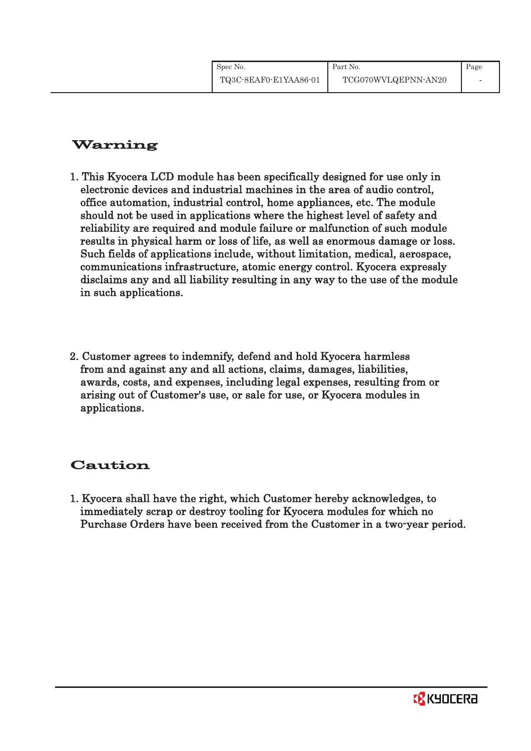# Warning

- 1. This Kyocera LCD module has been specifically designed for use only in electronic devices and industrial machines in the area of audio control, office automation, industrial control, home appliances, etc. The module should not be used in applications where the highest level of safety and reliability are required and module failure or malfunction of such module results in physical harm or loss of life, as well as enormous damage or loss. Such fields of applications include, without limitation, medical, aerospace, communications infrastructure, atomic energy control. Kyocera expressly disclaims any and all liability resulting in any way to the use of the module in such applications.
- 2. Customer agrees to indemnify, defend and hold Kyocera harmless from and against any and all actions, claims, damages, liabilities, awards, costs, and expenses, including legal expenses, resulting from or arising out of Customer's use, or sale for use, or Kyocera modules in applications.

# Caution

1. Kyocera shall have the right, which Customer hereby acknowledges, to immediately scrap or destroy tooling for Kyocera modules for which no Purchase Orders have been received from the Customer in a two-year period.

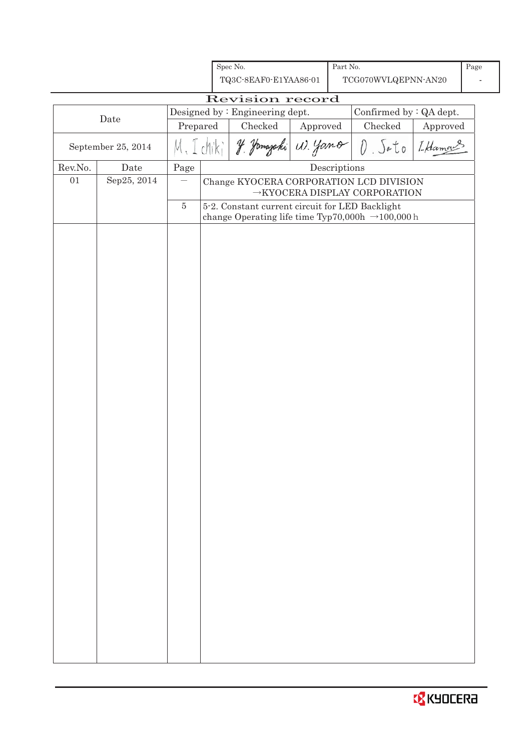|                                                                                                   |             |                      |                                                                                      | Spec No.                                        |  | Part No.     |                                                              |  | Page |
|---------------------------------------------------------------------------------------------------|-------------|----------------------|--------------------------------------------------------------------------------------|-------------------------------------------------|--|--------------|--------------------------------------------------------------|--|------|
|                                                                                                   |             |                      |                                                                                      | TQ3C-8EAF0-E1YAA86-01                           |  |              | TCG070WVLQEPNN-AN20                                          |  |      |
|                                                                                                   |             |                      |                                                                                      | Revision record                                 |  |              |                                                              |  |      |
| Designed by: Engineering dept.<br>Confirmed by : QA dept.<br>Date                                 |             |                      |                                                                                      |                                                 |  |              |                                                              |  |      |
| Checked<br>Checked<br>Prepared<br>Approved<br>J. Jamazaki (1). Yano<br>Sato<br>September 25, 2014 |             | Approved<br>I Hamang |                                                                                      |                                                 |  |              |                                                              |  |      |
| Rev.No.                                                                                           | Date        | Page                 |                                                                                      |                                                 |  | Descriptions |                                                              |  |      |
| 01                                                                                                | Sep25, 2014 |                      | Change KYOCERA CORPORATION LCD DIVISION<br>$\rightarrow$ KYOCERA DISPLAY CORPORATION |                                                 |  |              |                                                              |  |      |
|                                                                                                   |             | $\bf 5$              |                                                                                      | 5-2. Constant current circuit for LED Backlight |  |              | change Operating life time Typ70,000h $\rightarrow$ 100,000h |  |      |
|                                                                                                   |             |                      |                                                                                      |                                                 |  |              |                                                              |  |      |

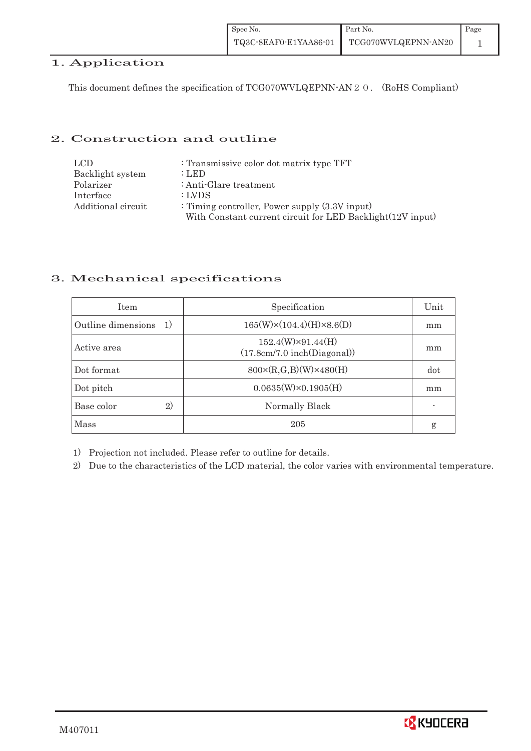# 1. Application

This document defines the specification of TCG070WVLQEPNN-AN 2 0. (RoHS Compliant)

# 2. Construction and outline

| LCD.               | : Transmissive color dot matrix type TFT                   |
|--------------------|------------------------------------------------------------|
| Backlight system   | : LED                                                      |
| Polarizer          | : Anti-Glare treatment                                     |
| Interface          | : LVDS                                                     |
| Additional circuit | : Timing controller, Power supply $(3.3V)$ input)          |
|                    | With Constant current circuit for LED Backlight(12V input) |

# 3. Mechanical specifications

| <b>Item</b>                           | Specification                                           | Unit |
|---------------------------------------|---------------------------------------------------------|------|
| Outline dimensions<br><sup>-</sup> 1) | $165(W)\times(104.4)(H)\times8.6(D)$                    | mm   |
| Active area                           | $152.4(W)\times91.44(H)$<br>(17.8cm/7.0 inch(Diagonal)) | mm   |
| Dot format                            | $800 \times (R, G, B)(W) \times 480(H)$                 | dot  |
| Dot pitch                             | $0.0635(W)\times0.1905(H)$                              | mm   |
| 2)<br>Base color                      | Normally Black                                          |      |
| Mass                                  | 205                                                     | g    |

1) Projection not included. Please refer to outline for details.

2) Due to the characteristics of the LCD material, the color varies with environmental temperature.

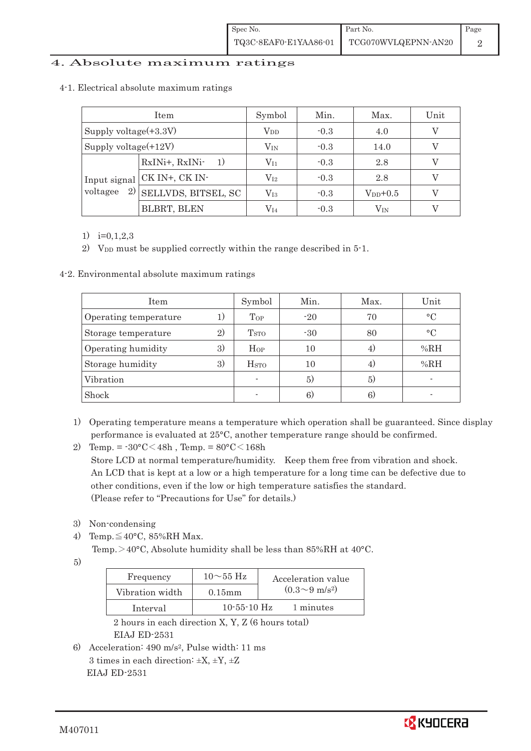# 4. Absolute maximum ratings

| Item                     |                             | Symbol       | Min.           | Max.          | Unit |
|--------------------------|-----------------------------|--------------|----------------|---------------|------|
| Supply voltage $(+3.3V)$ |                             | $\rm V_{DD}$ | $-0.3$         | 4.0           |      |
| Supply voltage $(+12V)$  |                             | $V_{\rm IN}$ | $-0.3$<br>14.0 |               |      |
|                          | RxINi+, RxINi-              | $\rm V_{11}$ | $-0.3$         | 2.8           |      |
|                          | Input signal CK IN+, CK IN- | $\rm V_{I2}$ | $-0.3$         | 2.8           |      |
| 2)<br>voltagee           | SELLVDS, BITSEL, SC         | $\rm V_{I3}$ | $-0.3$         | $V_{DD}$ +0.5 |      |
|                          | <b>BLBRT, BLEN</b>          | V14          | $-0.3$         | $\rm V_{IN}$  |      |

#### 4-1.Electrical absolute maximum ratings

1) i=0,1,2,3

2) V<sub>DD</sub> must be supplied correctly within the range described in 5-1.

4-2. Environmental absolute maximum ratings

| Item                  |    | Symbol                  | Min.  | Max. | Unit      |
|-----------------------|----|-------------------------|-------|------|-----------|
| Operating temperature |    | Top                     | $-20$ | 70   | $\circ$ C |
| Storage temperature   | 2) | <b>T</b> <sub>STO</sub> | $-30$ | 80   | $\circ$ C |
| Operating humidity    | 3) | $H_{OP}$                | 10    | 4)   | %RH       |
| Storage humidity      | 3) | <b>H</b> <sub>sto</sub> | 10    | 4)   | %RH       |
| Vibration             |    |                         | 5)    | 5)   |           |
| Shock                 |    |                         | 6)    | 6)   |           |

1) Operating temperature means a temperature which operation shall be guaranteed. Since display performance is evaluated at 25°C, another temperature range should be confirmed.

2) Temp. =  $-30^{\circ}$ C $<$ 48h, Temp. =  $80^{\circ}$ C $<$ 168h

 Store LCD at normal temperature/humidity. Keep them free from vibration and shock. An LCD that is kept at a low or a high temperature for a long time can be defective due to other conditions, even if the low or high temperature satisfies the standard. (Please refer to "Precautions for Use" for details.)

- 3) Non-condensing
- 4) Temp. $\leq 40^{\circ}$ C, 85%RH Max.

Temp. $>40^{\circ}$ C, Absolute humidity shall be less than 85%RH at 40°C.

5)

| Frequency       | $10\sim 55$ Hz    | Acceleration value         |
|-----------------|-------------------|----------------------------|
| Vibration width | $0.15$ mm         | $(0.3{\sim}9~{\rm m/s^2})$ |
| Interval        | $10 - 55 - 10$ Hz | 1 minutes                  |

 2 hours in each direction X, Y, Z (6 hours total) EIAJ ED-2531

6) Acceleration: 490 m/s2, Pulse width: 11 ms 3 times in each direction:  $\pm X$ ,  $\pm Y$ ,  $\pm Z$ EIAJ ED-2531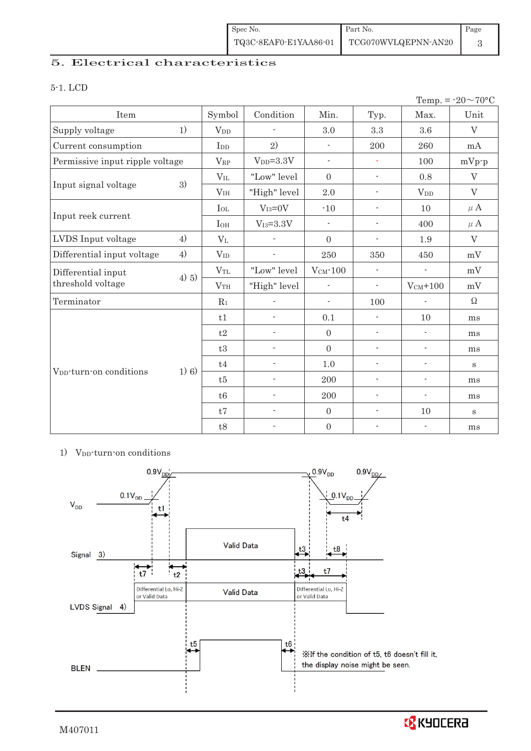| Spec No.              | Part No.            | Page |
|-----------------------|---------------------|------|
| TQ3C-8EAF0-E1YAA86-01 | TCG070WVLQEPNN-AN20 |      |

# 5. Electrical characteristics

#### 5-1. LCD

|                                     |         |                            |                          |                          |                          |                          | Temp. = $-20 \sim 70$ °C |
|-------------------------------------|---------|----------------------------|--------------------------|--------------------------|--------------------------|--------------------------|--------------------------|
| Item                                |         | Symbol                     | Condition                | Min.                     | Typ.                     | Max.                     | Unit                     |
| Supply voltage                      | 1)      | $V_{DD}$                   |                          | 3.0                      | $\!.3$                   | 3.6                      | V                        |
| Current consumption                 |         | I <sub>DD</sub>            | 2)                       | $\overline{\phantom{a}}$ | 200                      | 260                      | mA                       |
| Permissive input ripple voltage     |         | $V_{RP}$                   | $VDD=3.3V$               | $\overline{\phantom{a}}$ | ÷.                       | 100                      | $mVp-p$                  |
|                                     |         | $V_{IL}$                   | "Low" level              | $\overline{0}$           | $\overline{\phantom{a}}$ | 0.8                      | V                        |
| Input signal voltage                | 3)      | V <sub>IH</sub>            | "High" level             | 2.0                      | $\overline{\phantom{a}}$ | $V_{DD}$                 | V                        |
|                                     |         | $I_{OL}$                   | $V_{I3}=0V$              | $-10$                    | $\blacksquare$           | 10                       | $\mu$ A                  |
| Input reek current                  |         | <b>I</b> OH                | $V_{I3}=3.3V$            | $\overline{\phantom{a}}$ | $\overline{\phantom{a}}$ | 400                      | $\mu$ A                  |
| LVDS Input voltage                  | 4)      | $\rm V_{L}$                |                          | $\overline{0}$           | $\overline{\phantom{a}}$ | 1.9                      | V                        |
| Differential input voltage          | 4)      | $V_{ID}$                   |                          | 250                      | 350                      | 450                      | mV                       |
| Differential input                  | 4) 5)   | $V_{TL}$                   | "Low" level              | $V_{CM}$ -100            | $\blacksquare$           | $\overline{\phantom{a}}$ | mV                       |
| threshold voltage                   |         | VTH                        | "High" level             | ÷,                       | $\overline{\phantom{a}}$ | $V_{CM}$ +100            | mV                       |
| Terminator                          |         | $R_1$                      |                          | $\overline{\phantom{a}}$ | 100                      | $\overline{\phantom{a}}$ | $\Omega$                 |
|                                     |         | t1                         |                          | 0.1                      | $\overline{\phantom{a}}$ | 10                       | ms                       |
|                                     |         | t2                         | $\overline{\phantom{0}}$ | $\overline{0}$           | $\overline{\phantom{a}}$ | $\overline{\phantom{a}}$ | ms                       |
|                                     |         | t3                         | $\blacksquare$           | $\mathbf{0}$             | $\overline{\phantom{a}}$ | $\overline{\phantom{a}}$ | ms                       |
|                                     | $1)$ 6) | $\ensuremath{\mathrm{t}}4$ | $\overline{\phantom{0}}$ | 1.0                      | $\overline{\phantom{a}}$ | $\overline{\phantom{a}}$ | $\bf S$                  |
| V <sub>DD</sub> -turn-on conditions |         | t5                         | ÷,                       | 200                      | $\overline{a}$           | $\overline{\phantom{a}}$ | ms                       |
|                                     |         | t6                         | $\overline{\phantom{a}}$ | 200                      | $\overline{\phantom{a}}$ | $\overline{\phantom{a}}$ | ms                       |
|                                     |         | t7                         | $\overline{a}$           | $\mathbf{0}$             | $\overline{\phantom{a}}$ | 10                       | $\bf S$                  |
|                                     |         | $\ensuremath{\mathrm{t}}8$ | $\overline{\phantom{0}}$ | $\boldsymbol{0}$         | ÷                        | $\overline{\phantom{a}}$ | ms                       |

#### 1) V<sub>DD</sub>-turn-on conditions



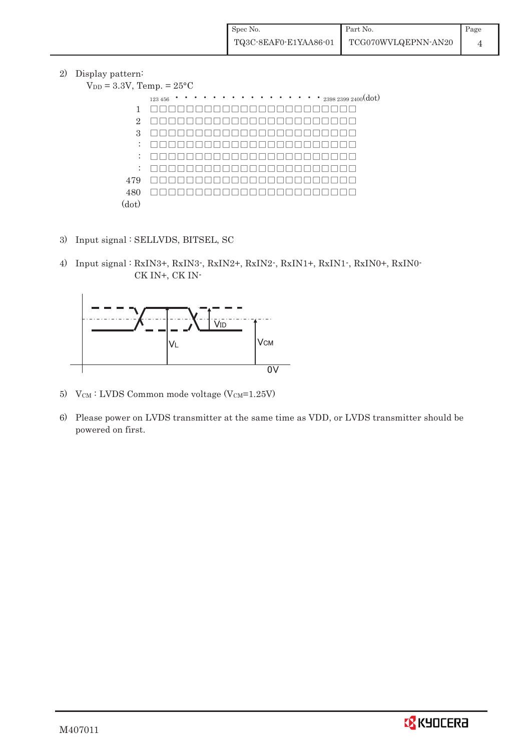2) Display pattern:

| $V_{DD} = 3.3V$ , Temp. = $25^{\circ}$ C |                                                                       |
|------------------------------------------|-----------------------------------------------------------------------|
|                                          | $\cdots$ $\cdots$ $_{2398\ 2399\ 2400}(\mathrm{dot})$<br>123 456<br>٠ |
| 1                                        |                                                                       |
| $\overline{2}$                           |                                                                       |
| 3                                        |                                                                       |
| ÷                                        |                                                                       |
| ÷                                        |                                                                       |
| ÷                                        |                                                                       |
| 479                                      |                                                                       |
| 480                                      |                                                                       |
| (dot)                                    |                                                                       |

- 3) Input signal : SELLVDS, BITSEL, SC
- 4) Input signal : RxIN3+, RxIN3-, RxIN2+, RxIN2-, RxIN1+, RxIN1-, RxIN0+, RxIN0- CK IN+, CK IN-



- 5) V $_{\text{CM}}$ : LVDS Common mode voltage (V $_{\text{CM}}$ =1.25V)
- 6) Please power on LVDS transmitter at the same time as VDD, or LVDS transmitter should be powered on first.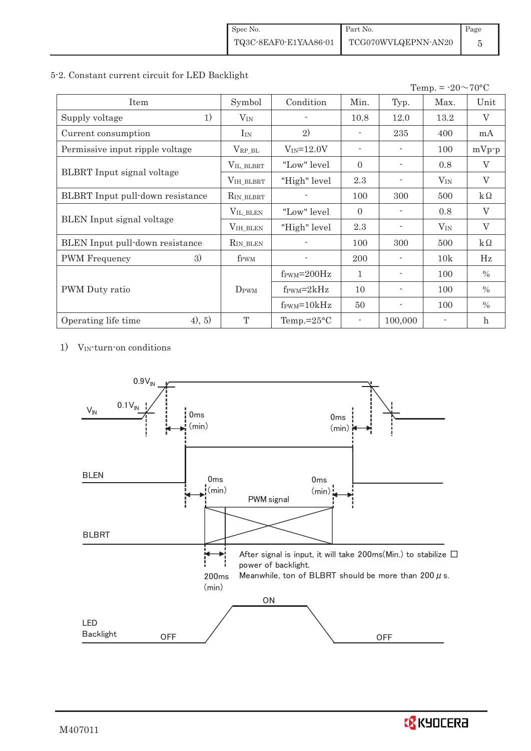#### 5-2. Constant current circuit for LED Backlight

|                                   |                    |                                  |                          |                          | Temp. = $-20 \sim 70$ °C |               |
|-----------------------------------|--------------------|----------------------------------|--------------------------|--------------------------|--------------------------|---------------|
| Item                              | Symbol             | Condition                        | Min.                     | Typ.                     | Max.                     | Unit          |
| 1)<br>Supply voltage              | $V_{IN}$           |                                  | 10.8                     | 12.0                     | 13.2                     | V             |
| Current consumption               | $I_{IN}$           | 2)                               |                          | 235                      | 400                      | mA            |
| Permissive input ripple voltage   | $\rm V_{RP\_BL}$   | $V_{IN} = 12.0V$                 | $\overline{\phantom{a}}$ |                          | 100                      | $mVp-p$       |
|                                   | VIL_BLBRT          | "Low" level"                     | $\Omega$                 |                          | 0.8                      | $\rm V$       |
| <b>BLBRT</b> Input signal voltage | VIH_BLBRT          | "High" level                     | 2.3                      |                          | $V_{IN}$                 | V             |
| BLBRT Input pull-down resistance  | RIN_BLBRT          |                                  | 100                      | 300                      | 500                      | $k\Omega$     |
|                                   | $V_{\rm IL\_BLEN}$ | "Low" level"                     | $\Omega$                 |                          | 0.8                      | V             |
| BLEN Input signal voltage         | VIH_BLEN           | "High" level                     | 2.3                      |                          | $V_{IN}$                 | V             |
| BLEN Input pull-down resistance   | $R_{IN_BLEN}$      |                                  | 100                      | 300                      | 500                      | $k\Omega$     |
| 3)<br><b>PWM</b> Frequency        | f <sub>PWM</sub>   |                                  | 200                      |                          | 10k                      | Hz            |
|                                   |                    | $f_{\text{PWM}} = 200 \text{Hz}$ | $\mathbf{1}$             |                          | 100                      | $\%$          |
| PWM Duty ratio                    | D <sub>PWM</sub>   | $f_{\rm PWM}=2kHz$               | 10                       | $\blacksquare$           | 100                      | $\%$          |
|                                   |                    | $f_{\text{PWM}} = 10kHz$         | 50                       | $\overline{\phantom{a}}$ | 100                      | $\frac{0}{0}$ |
| (4), 5)<br>Operating life time    | T                  | Temp.= $25^{\circ}$ C            |                          | 100,000                  |                          | $\mathbf{h}$  |

1) VIN-turn-on conditions



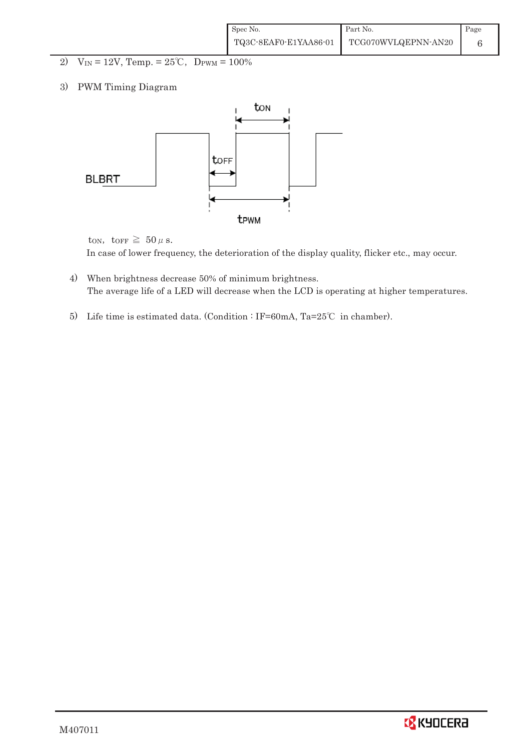| Spec No.              | Part No.            | Page |
|-----------------------|---------------------|------|
| TQ3C-8EAF0-E1YAA86-01 | TCG070WVLQEPNN-AN20 |      |

- 2)  $V_{IN} = 12V$ , Temp. =  $25^{\circ}C$ , D<sub>PWM</sub> =  $100\%$
- 3) PWM Timing Diagram



ton, to<br>FF  $\geq 50 \,\mu$  s. In case of lower frequency, the deterioration of the display quality, flicker etc., may occur.

- 4) When brightness decrease 50% of minimum brightness. The average life of a LED will decrease when the LCD is operating at higher temperatures.
- 5) Life time is estimated data. (Condition : IF=60mA, Ta=25°C in chamber).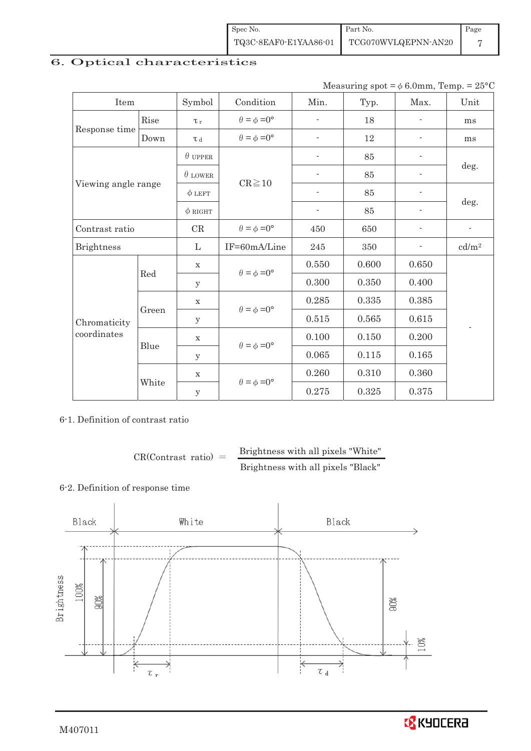| Spec No.              | Part No.            | Page |
|-----------------------|---------------------|------|
| TQ3C-8EAF0-E1YAA86-01 | TCG070WVLQEPNN-AN20 |      |

# 6. Optical characteristics

Measuring  $spot = \phi 6.0$ mm, Temp. = 25°C

| Item                |       | Symbol              | Condition                                                  | Min.                     | Typ.  | Max.           | Unit              |
|---------------------|-------|---------------------|------------------------------------------------------------|--------------------------|-------|----------------|-------------------|
|                     | Rise  | $\tau_r$            | $\theta = \phi = 0^{\circ}$                                | $\overline{\phantom{0}}$ | 18    | $\overline{a}$ | ms                |
| Response time       | Down  | $\tau$ <sub>d</sub> | $\theta = \phi = 0^{\circ}$                                | $\overline{a}$           | 12    |                | ms                |
|                     |       | $\theta$ upper      |                                                            | $\overline{\phantom{0}}$ | 85    |                |                   |
|                     |       | $\theta$ LOWER      | $CR \ge 10$                                                |                          | 85    |                | deg.              |
| Viewing angle range |       | $\phi$ LEFT         |                                                            | $\overline{\phantom{a}}$ | 85    |                |                   |
|                     |       | $\phi$ RIGHT        |                                                            | $\overline{\phantom{a}}$ | 85    | $\blacksquare$ | deg.              |
| Contrast ratio      |       | CR                  | $\theta=\phi=0^{\circ}$                                    | 450                      | 650   |                | $\overline{a}$    |
| <b>Brightness</b>   |       | L                   | IF=60mA/Line                                               | 245                      | 350   |                | cd/m <sup>2</sup> |
|                     | Red   | $\mathbf X$         | $\theta = \phi = 0^{\circ}$<br>$\theta = \phi = 0^{\circ}$ | 0.550                    | 0.600 | 0.650          |                   |
|                     |       | y                   |                                                            | 0.300                    | 0.350 | 0.400          |                   |
|                     |       | $\mathbf X$         |                                                            | 0.285                    | 0.335 | 0.385          |                   |
| Chromaticity        | Green | $\mathbf y$         |                                                            | 0.515                    | 0.565 | 0.615          |                   |
| coordinates         | Blue  | $\mathbf X$         | $\theta = \phi = 0^{\circ}$                                | 0.100                    | 0.150 | 0.200          |                   |
|                     |       | y                   |                                                            | 0.065                    | 0.115 | 0.165          |                   |
|                     |       | $\mathbf X$         | $\theta = \phi = 0^{\circ}$                                | 0.260                    | 0.310 | 0.360          |                   |
|                     | White | $\mathbf{y}$        |                                                            | 0.275                    | 0.325 | 0.375          |                   |

6-1. Definition of contrast ratio

 $CR(Contrast ratio) =$  Brightness with all pixels "White" Brightness with all pixels "Black"

#### 6-2. Definition of response time

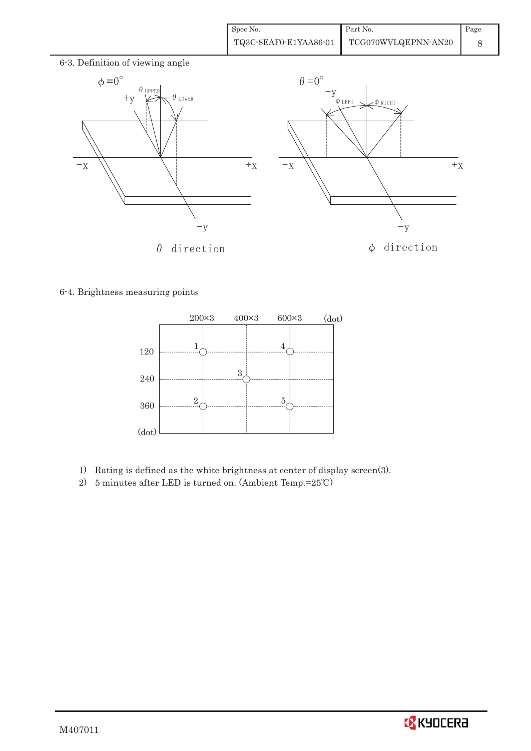| Spec No.              | Part No.            | Page |
|-----------------------|---------------------|------|
| TQ3C-8EAF0-E1YAA86-01 | TCG070WVLQEPNN-AN20 |      |



# 6-4. Brightness measuring points



- 1) Rating is defined as the white brightness at center of display screen(3).
- 2) 5 minutes after LED is turned on. (Ambient Temp.= $25^{\circ}$ C)

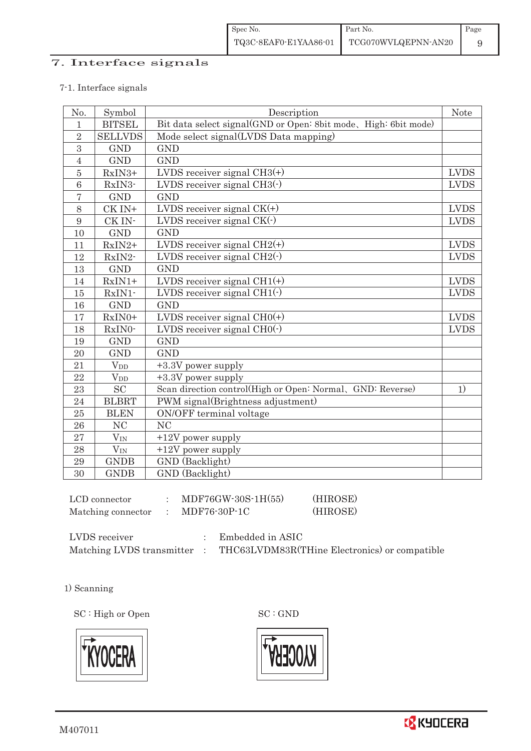# 7. Interface signals

#### 7-1. Interface signals

| No.            | Symbol                 | Description                                                     | <b>Note</b> |
|----------------|------------------------|-----------------------------------------------------------------|-------------|
| $\mathbf{1}$   | <b>BITSEL</b>          | Bit data select signal(GND or Open: 8bit mode, High: 6bit mode) |             |
| $\overline{2}$ | <b>SELLVDS</b>         | Mode select signal(LVDS Data mapping)                           |             |
| $\overline{3}$ | <b>GND</b>             | <b>GND</b>                                                      |             |
| $\sqrt{4}$     | <b>GND</b>             | <b>GND</b>                                                      |             |
| $\bf 5$        | RxIN3+                 | LVDS receiver signal $CH3(+)$                                   | <b>LVDS</b> |
| 6              | RxIN3-                 | LVDS receiver signal $CH3$ ( $\cdot$ )                          | <b>LVDS</b> |
| $\overline{7}$ | <b>GND</b>             | <b>GND</b>                                                      |             |
| 8              | CK IN+                 | LVDS receiver signal $CK(+)$                                    | <b>LVDS</b> |
| 9              | CK IN-                 | LVDS receiver signal $CK(\cdot)$                                | <b>LVDS</b> |
| 10             | <b>GND</b>             | <b>GND</b>                                                      |             |
| 11             | RxIN2+                 | LVDS receiver signal $CH2(+)$                                   | <b>LVDS</b> |
| 12             | RxIN2-                 | LVDS receiver signal $CH2(\cdot)$                               | <b>LVDS</b> |
| 13             | <b>GND</b>             | <b>GND</b>                                                      |             |
| 14             | $RxIN1+$               | LVDS receiver signal $CH1(+)$                                   | <b>LVDS</b> |
| 15             | RxIN1-                 | LVDS receiver signal $CH1(\cdot)$                               | <b>LVDS</b> |
| 16             | <b>GND</b>             | <b>GND</b>                                                      |             |
| 17             | RxIN0+                 | LVDS receiver signal $CHO(+)$                                   | <b>LVDS</b> |
| 18             | RxIN0-                 | LVDS receiver signal $CHO(·)$                                   | <b>LVDS</b> |
| 19             | <b>GND</b>             | <b>GND</b>                                                      |             |
| $20\,$         | <b>GND</b>             | <b>GND</b>                                                      |             |
| 21             | <b>V</b> <sub>DD</sub> | +3.3V power supply                                              |             |
| 22             | <b>V</b> <sub>DD</sub> | +3.3V power supply                                              |             |
| 23             | <b>SC</b>              | Scan direction control(High or Open: Normal, GND: Reverse)      | 1)          |
| 24             | <b>BLBRT</b>           | PWM signal(Brightness adjustment)                               |             |
| $25\,$         | <b>BLEN</b>            | ON/OFF terminal voltage                                         |             |
| ${\bf 26}$     | NC                     | N <sub>C</sub>                                                  |             |
| 27             | $V_{\rm IN}$           | $+12V$ power supply                                             |             |
| 28             | $V_{IN}$               | $+12V$ power supply                                             |             |
| 29             | <b>GNDB</b>            | GND (Backlight)                                                 |             |
| 30             | <b>GNDB</b>            | GND (Backlight)                                                 |             |

| LCD connector      | MDF76GW-30S-1H(55) | (HIROSE) |
|--------------------|--------------------|----------|
| Matching connector | MDF76-30P-1C       | (HIROSE) |

| LVDS receiver             | Embedded in ASIC                              |
|---------------------------|-----------------------------------------------|
| Matching LVDS transmitter | THC63LVDM83R(THine Electronics) or compatible |

1) Scanning

SC : High or Open SC : GND



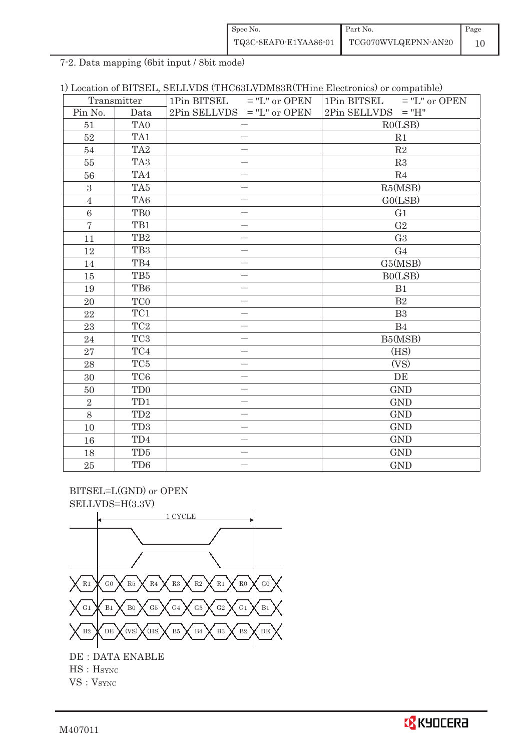| Spec No.              | Part No.            | Page |
|-----------------------|---------------------|------|
| TQ3C-8EAF0-E1YAA86-01 | TCG070WVLQEPNN-AN20 |      |

7-2. Data mapping (6bit input / 8bit mode)

| Transmitter    |                             | 1Pin BITSEL $=$ "L" or OPEN  | $=$ "L" or OPEN<br>1Pin BITSEL |  |  |
|----------------|-----------------------------|------------------------------|--------------------------------|--|--|
| Pin No.        | Data                        | $2Pin$ SELLVDS = "L" or OPEN | $2Pin$ SELLVDS = "H"           |  |  |
| 51             | TA0                         | $\overline{\phantom{m}}$     | RO(LSB)                        |  |  |
| 52             | TA1                         |                              | R1                             |  |  |
| 54             | TA <sub>2</sub>             | $\overline{\phantom{0}}$     | R2                             |  |  |
| $55\,$         | TA <sub>3</sub>             | $\overline{\phantom{0}}$     | R3                             |  |  |
| 56             | TA4                         |                              | R <sub>4</sub>                 |  |  |
| 3              | TA5                         | $\overline{\phantom{0}}$     | R5(MSB)                        |  |  |
| $\overline{4}$ | TA6                         | $\overline{\phantom{0}}$     | GO(LSB)                        |  |  |
| 6              | T <sub>B0</sub>             |                              | G1                             |  |  |
| $\overline{7}$ | TB1                         | $\overline{\phantom{0}}$     | G <sub>2</sub>                 |  |  |
| 11             | TB <sub>2</sub>             |                              | G <sub>3</sub>                 |  |  |
| 12             | TB <sub>3</sub>             |                              | G <sub>4</sub>                 |  |  |
| 14             | TB4                         |                              | G5(MSB)                        |  |  |
| 15             | TB5                         |                              | BO(LSB)                        |  |  |
| 19             | TB6                         | $\overline{\phantom{0}}$     | B1                             |  |  |
| 20             | TC <sub>0</sub>             |                              | B <sub>2</sub>                 |  |  |
| 22             | TC1                         |                              | B <sub>3</sub>                 |  |  |
| 23             | TC <sub>2</sub>             |                              | B <sub>4</sub>                 |  |  |
| 24             | TC <sub>3</sub>             |                              | B5(MSB)                        |  |  |
| 27             | $\mathrm{T}\mathrm{C}4$     |                              | (HS)                           |  |  |
| 28             | TC5                         |                              | (VS)                           |  |  |
| 30             | TC <sub>6</sub>             |                              | DE                             |  |  |
| 50             | T <sub>D</sub> <sub>0</sub> | $\overline{\phantom{0}}$     | <b>GND</b>                     |  |  |
| $\overline{2}$ | TD1                         | $\overline{\phantom{0}}$     | <b>GND</b>                     |  |  |
| 8              | TD <sub>2</sub>             |                              | <b>GND</b>                     |  |  |
| 10             | TD <sub>3</sub>             |                              | <b>GND</b>                     |  |  |
| 16             | TD4                         | $\overline{\phantom{0}}$     | <b>GND</b>                     |  |  |
| 18             | TD <sub>5</sub>             |                              | <b>GND</b>                     |  |  |
| $25\,$         | TD6                         | $\overline{\phantom{0}}$     | <b>GND</b>                     |  |  |

 BITSEL=L(GND) or OPEN SELLVDS=H(3.3V)



HS: H<sub>SYNC</sub>

 $VS : V<sub>SYNC</sub>$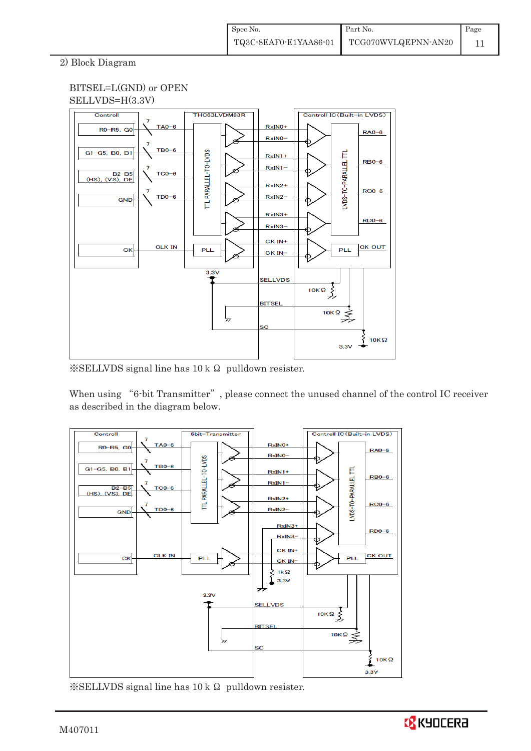# 2) Block Diagram



 $\&$ SELLVDS signal line has 10 k  $\Omega$  pulldown resister.

When using "6-bit Transmitter", please connect the unused channel of the control IC receiver as described in the diagram below.



 $\frac{1}{2}$ SELLVDS signal line has 10 k  $\Omega$  pulldown resister.

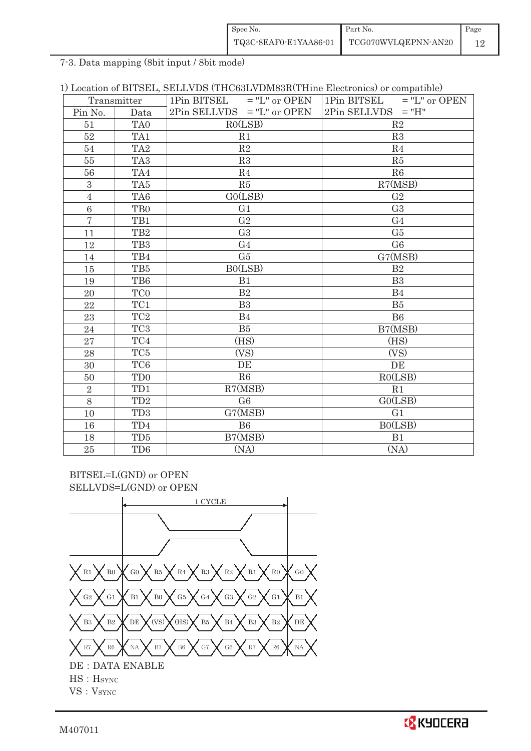| Spec No.              | Part No.            | Page |
|-----------------------|---------------------|------|
| TQ3C-8EAF0-E1YAA86-01 | TCG070WVLQEPNN-AN20 |      |

7-3. Data mapping (8bit input / 8bit mode)

|  |  |  |  | 1) Location of BITSEL, SELLVDS (THC63LVDM83R(THine Electronics) or compatible) |  |  |  |
|--|--|--|--|--------------------------------------------------------------------------------|--|--|--|
|--|--|--|--|--------------------------------------------------------------------------------|--|--|--|

|                | 1Pin BITSEL<br>$=$ "L" or OPEN<br>Transmitter |                              | 1Pin BITSEL<br>$=$ "L" or OPEN |  |  |
|----------------|-----------------------------------------------|------------------------------|--------------------------------|--|--|
| Pin No.        | Data                                          | $2Pin$ SELLVDS = "L" or OPEN | 2Pin SELLVDS<br>$=$ "H"        |  |  |
| 51             | TA <sub>0</sub>                               | RO(LSB)                      | R <sub>2</sub>                 |  |  |
| 52             | TA1                                           | R1                           | R3                             |  |  |
| 54             | TA <sub>2</sub>                               | R2                           | R <sub>4</sub>                 |  |  |
| 55             | TA <sub>3</sub>                               | R3                           | R5                             |  |  |
| 56             | TA4                                           | R <sub>4</sub>               | R6                             |  |  |
| $\mathbf{3}$   | TA5                                           | R5                           | R7(MSB)                        |  |  |
| $\sqrt{4}$     | TA6                                           | GO(LSB)                      | G <sub>2</sub>                 |  |  |
| 6              | TB <sub>0</sub>                               | G <sub>1</sub>               | G <sub>3</sub>                 |  |  |
| $\overline{7}$ | TB1                                           | G <sub>2</sub>               | G <sub>4</sub>                 |  |  |
| 11             | TB <sub>2</sub>                               | G <sub>3</sub>               | G <sub>5</sub>                 |  |  |
| 12             | TB <sub>3</sub>                               | G <sub>4</sub>               | G <sub>6</sub>                 |  |  |
| 14             | TB4                                           | G5                           | G7(MSB)                        |  |  |
| 15             | TB5                                           | BO(LSB)                      | B <sub>2</sub>                 |  |  |
| 19             | TB6                                           | B1                           | B <sub>3</sub>                 |  |  |
| 20             | TC0                                           | B <sub>2</sub>               | B <sub>4</sub>                 |  |  |
| 22             | TC1                                           | B <sub>3</sub>               | B5                             |  |  |
| 23             | TC <sub>2</sub>                               | B <sub>4</sub>               | B <sub>6</sub>                 |  |  |
| 24             | TC <sub>3</sub>                               | B5                           | B7(MSB)                        |  |  |
| 27             | TC4                                           | (HS)                         | (HS)                           |  |  |
| 28             | TC <sub>5</sub>                               | (VS)                         | (VS)                           |  |  |
| 30             | TC <sub>6</sub>                               | DE                           | DE                             |  |  |
| 50             | TD <sub>0</sub>                               | R6                           | RO(LSB)                        |  |  |
| $\overline{2}$ | TD1                                           | R7(MSB)                      | R1                             |  |  |
| 8              | TD <sub>2</sub>                               | G <sub>6</sub>               | GO(LSB)                        |  |  |
| 10             | TD <sub>3</sub>                               | G7(MSB)                      | G <sub>1</sub>                 |  |  |
| 16             | TD4                                           | B <sub>6</sub>               | BO(LSB)                        |  |  |
| 18             | TD5                                           | B7(MSB)                      | B1                             |  |  |
| 25             | TD <sub>6</sub>                               | (NA)                         | (NA)                           |  |  |

BITSEL=L(GND) or OPEN SELLVDS=L(GND) or OPEN

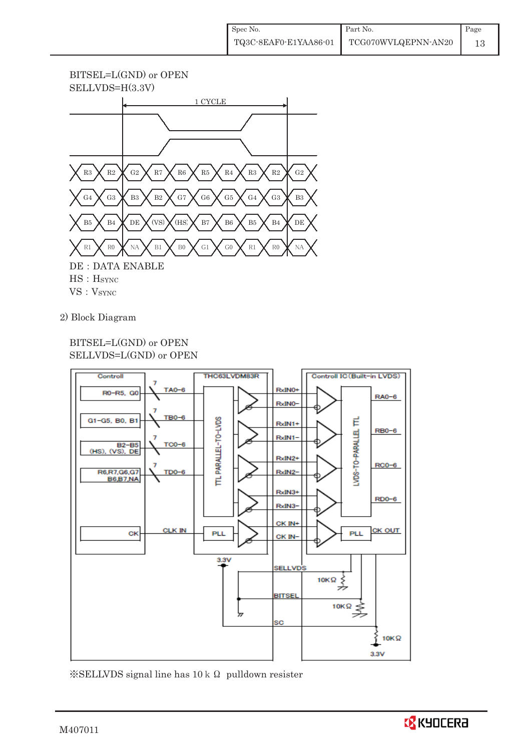# BITSEL=L(GND) or OPEN



2) Block Diagram

# BITSEL=L(GND) or OPEN SELLVDS=L(GND) or OPEN



 $\frac{1}{2}$ SELLVDS signal line has 10 k  $\Omega$  pulldown resister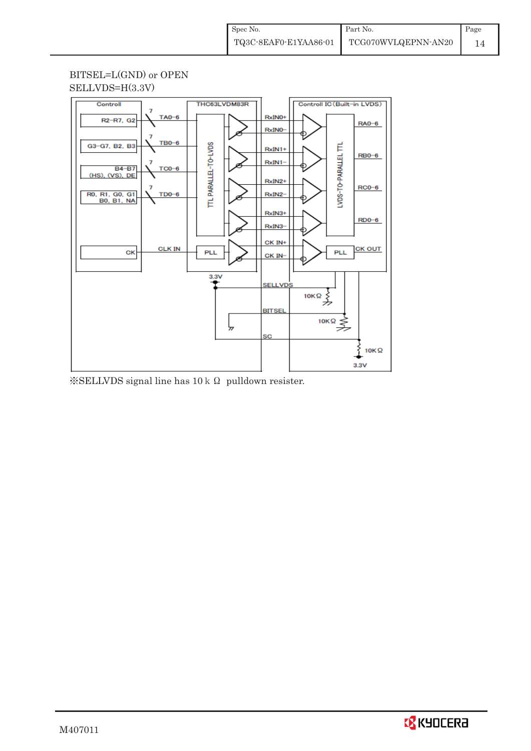# BITSEL=L(GND) or OPEN SELLVDS=H(3.3V)



 $\frac{1}{2}$ SELLVDS signal line has 10 k  $\Omega$  pulldown resister.

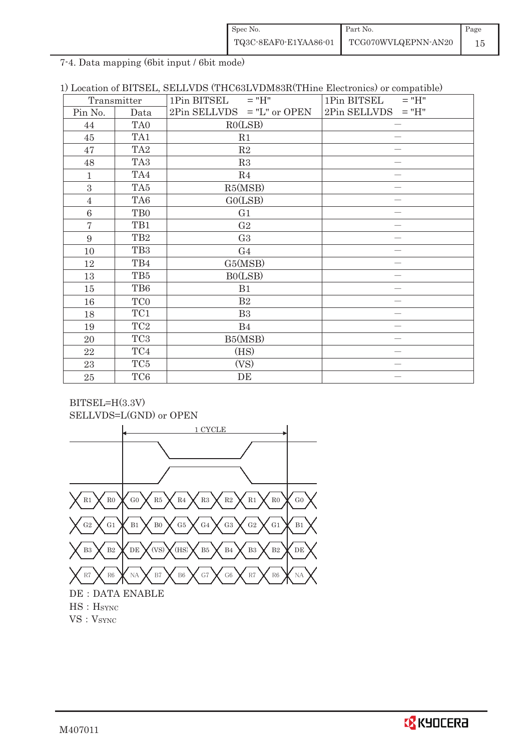| Spec No.              | Part No.            | Page |
|-----------------------|---------------------|------|
| TQ3C-8EAF0-E1YAA86-01 | TCG070WVLQEPNN-AN20 |      |

7-4. Data mapping (6bit input / 6bit mode)

|  | 1) Location of BITSEL, SELLVDS (THC63LVDM83R(THine Electronics) or compatible) |  |
|--|--------------------------------------------------------------------------------|--|
|--|--------------------------------------------------------------------------------|--|

|                 | Transmitter     | $1Pin$ BITSEL = "H"          | 1Pin BITSEL<br>$=$ "H" |  |
|-----------------|-----------------|------------------------------|------------------------|--|
| Pin No.         | Data            | $2Pin$ SELLVDS = "L" or OPEN | $2Pin$ SELLVDS = "H"   |  |
| 44              | TA <sub>0</sub> | RO(LSB)                      |                        |  |
| 45              | TA1             | R1                           |                        |  |
| 47              | TA <sub>2</sub> | $\mathbf{R}2$                |                        |  |
| 48              | TA <sub>3</sub> | R3                           |                        |  |
| $\mathbf{1}$    | TA4             | R <sub>4</sub>               |                        |  |
| 3               | TA5             | R5(MSB)                      |                        |  |
| $\overline{4}$  | TA <sub>6</sub> | GO(LSB)                      |                        |  |
| $6\phantom{1}6$ | T <sub>B0</sub> | G <sub>1</sub>               |                        |  |
| $\overline{7}$  | TB1             | G <sub>2</sub>               |                        |  |
| 9               | TB <sub>2</sub> | G <sub>3</sub>               |                        |  |
| 10              | TB <sub>3</sub> | G <sub>4</sub>               |                        |  |
| 12              | TB4             | G5(MSB)                      |                        |  |
| 13              | TB5             | B0(LSB)                      |                        |  |
| 15              | TB6             | B1                           |                        |  |
| 16              | TC <sub>0</sub> | B2                           |                        |  |
| 18              | TC1             | B <sub>3</sub>               |                        |  |
| 19              | TC <sub>2</sub> | B4                           |                        |  |
| 20              | TC <sub>3</sub> | B5(MSB)                      |                        |  |
| 22              | TC4             | (HS)                         |                        |  |
| 23              | TC5             | (VS)                         |                        |  |
| $25\,$          | TC <sub>6</sub> | DE                           |                        |  |



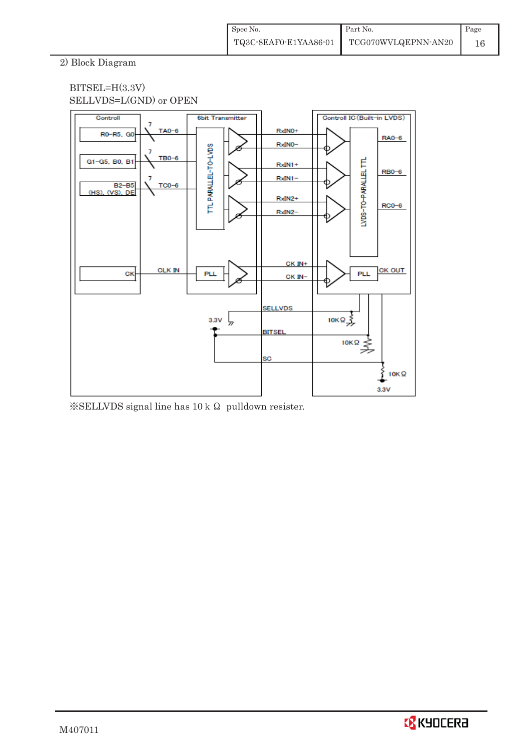# 2) Block Diagram



 $\frac{1}{2}$ SELLVDS signal line has 10 k  $\Omega$  pulldown resister.

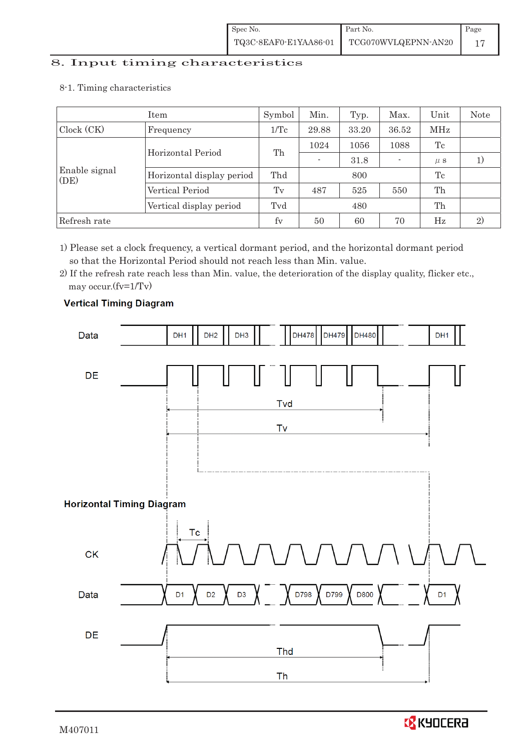# 8. Input timing characteristics  $\overline{\phantom{a}}$

8-1. Timing characteristics

|                       | Symbol                    | Min. | Typ.                     | Max.  | Unit                     | <b>Note</b> |  |
|-----------------------|---------------------------|------|--------------------------|-------|--------------------------|-------------|--|
| Clock (CK)            | Frequency                 |      | 29.88                    | 33.20 | 36.52                    | MHz         |  |
|                       | Horizontal Period         | Th   | 1024                     | 1056  | 1088                     | Tc          |  |
|                       |                           |      | $\overline{\phantom{a}}$ | 31.8  | $\overline{\phantom{a}}$ | $\mu$ s     |  |
| Enable signal<br>(DE) | Horizontal display period | Thd  |                          | 800   |                          | Tc          |  |
|                       | Vertical Period           | Tv   | 487                      | 525   | 550                      | Th          |  |
|                       | Vertical display period   | Tvd  |                          | 480   |                          | Th          |  |
| Refresh rate          | fy                        | 50   | 60                       | 70    | $_{\rm Hz}$              | 2)          |  |

1) Please set a clock frequency, a vertical dormant period, and the horizontal dormant period so that the Horizontal Period should not reach less than Min. value.

2) If the refresh rate reach less than Min. value, the deterioration of the display quality, flicker etc., may occur.(fv=1/Tv)



# **Vertical Timing Diagram**

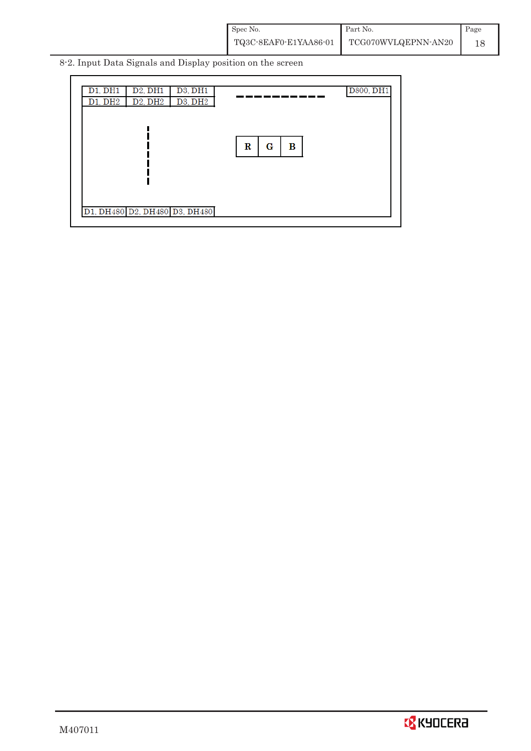| Spec No.              | Part No.            | Page |
|-----------------------|---------------------|------|
| TQ3C-8EAF0-E1YAA86-01 | TCG070WVLQEPNN-AN20 |      |

8-2. Input Data Signals and Display position on the screen

| D3, DH1<br>D1, DH1<br>D <sub>2</sub> , DH <sub>1</sub><br>D3, DH2<br>D1, DH2<br>D <sub>2</sub> , DH <sub>2</sub> | D800, DH1   |
|------------------------------------------------------------------------------------------------------------------|-------------|
|                                                                                                                  | G<br>R<br>в |
|                                                                                                                  |             |
| D1, DH480 D2, DH480 D3, DH480                                                                                    |             |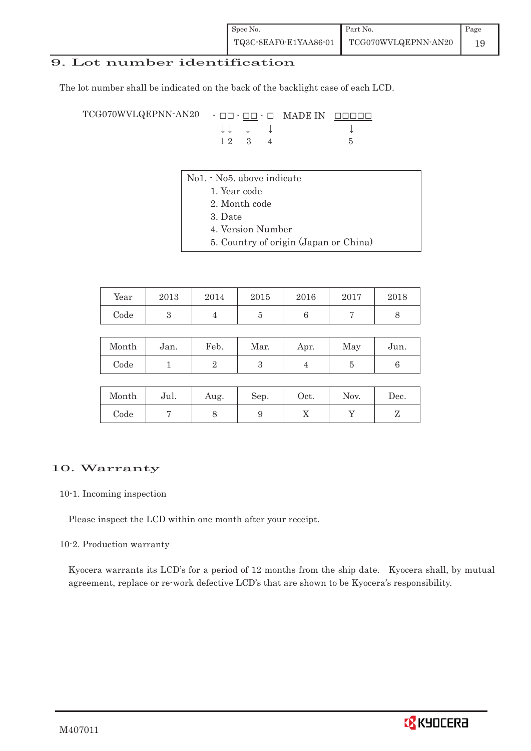# 9. Lot number identification

The lot number shall be indicated on the back of the backlight case of each LCD.

 $TCG070WVLQEPNN-AN20 - \Box\Box - \Box$  MADE IN  $\Box$  $\downarrow \downarrow \quad \downarrow \quad \downarrow \qquad \qquad \downarrow$  $1 2 3 4 5$ 

- No1. No5. above indicate
	- 1. Year code
		- 2. Month code
		- 3. Date
		- 4. Version Number
		- 5. Country of origin (Japan or China)

| Year | 2013 | 2014 | 2015 | 2016 | 2017 | 2018 |
|------|------|------|------|------|------|------|
| Code |      |      |      |      |      |      |

| Month | Jan. | Feb. | Mar. | Apr. | May | Jun. |
|-------|------|------|------|------|-----|------|
| Code  |      |      |      |      |     |      |

| Month | Jul. | Aug. | Sep. | Oct. | Nov. | Dec. |
|-------|------|------|------|------|------|------|
| Code  |      |      |      | ∡⊾   |      |      |

# 10. Warranty

#### 10-1. Incoming inspection

Please inspect the LCD within one month after your receipt.

#### 10-2. Production warranty

 Kyocera warrants its LCD's for a period of 12 months from the ship date. Kyocera shall, by mutual agreement, replace or re-work defective LCD's that are shown to be Kyocera's responsibility.

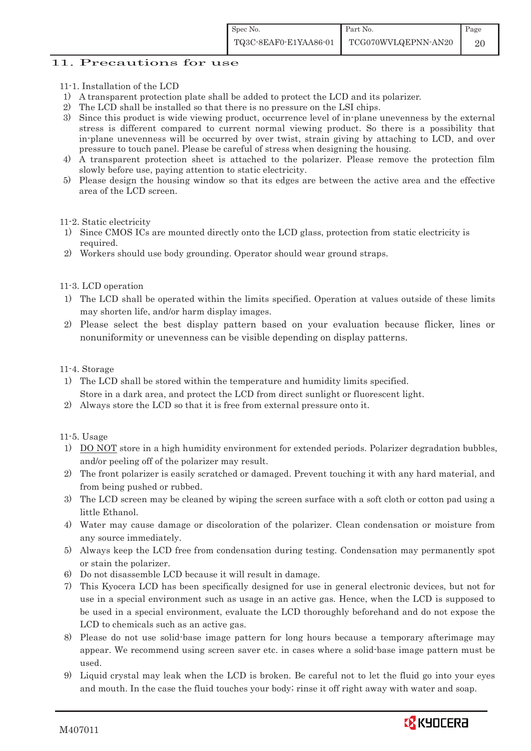# 11. Precautions for use

- 11-1. Installation of the LCD
- 1) A transparent protection plate shall be added to protect the LCD and its polarizer.
- 2) The LCD shall be installed so that there is no pressure on the LSI chips.
- 3) Since this product is wide viewing product, occurrence level of in-plane unevenness by the external stress is different compared to current normal viewing product. So there is a possibility that in-plane unevenness will be occurred by over twist, strain giving by attaching to LCD, and over pressure to touch panel. Please be careful of stress when designing the housing.
- 4) A transparent protection sheet is attached to the polarizer. Please remove the protection film slowly before use, paying attention to static electricity.
- 5) Please design the housing window so that its edges are between the active area and the effective area of the LCD screen.

#### 11-2. Static electricity

- 1) Since CMOS ICs are mounted directly onto the LCD glass, protection from static electricity is required.
- 2) Workers should use body grounding. Operator should wear ground straps.

#### 11-3. LCD operation

- 1) The LCD shall be operated within the limits specified. Operation at values outside of these limits may shorten life, and/or harm display images.
- 2) Please select the best display pattern based on your evaluation because flicker, lines or nonuniformity or unevenness can be visible depending on display patterns.

#### 11-4. Storage

- 1) The LCD shall be stored within the temperature and humidity limits specified. Store in a dark area, and protect the LCD from direct sunlight or fluorescent light.
- 2) Always store the LCD so that it is free from external pressure onto it.

#### 11-5. Usage

- 1) DO NOT store in a high humidity environment for extended periods. Polarizer degradation bubbles, and/or peeling off of the polarizer may result.
- 2) The front polarizer is easily scratched or damaged. Prevent touching it with any hard material, and from being pushed or rubbed.
- 3) The LCD screen may be cleaned by wiping the screen surface with a soft cloth or cotton pad using a little Ethanol.
- 4) Water may cause damage or discoloration of the polarizer. Clean condensation or moisture from any source immediately.
- 5) Always keep the LCD free from condensation during testing. Condensation may permanently spot or stain the polarizer.
- 6) Do not disassemble LCD because it will result in damage.
- 7) This Kyocera LCD has been specifically designed for use in general electronic devices, but not for use in a special environment such as usage in an active gas. Hence, when the LCD is supposed to be used in a special environment, evaluate the LCD thoroughly beforehand and do not expose the LCD to chemicals such as an active gas.
- 8) Please do not use solid-base image pattern for long hours because a temporary afterimage may appear. We recommend using screen saver etc. in cases where a solid-base image pattern must be used.
- 9) Liquid crystal may leak when the LCD is broken. Be careful not to let the fluid go into your eyes and mouth. In the case the fluid touches your body; rinse it off right away with water and soap.

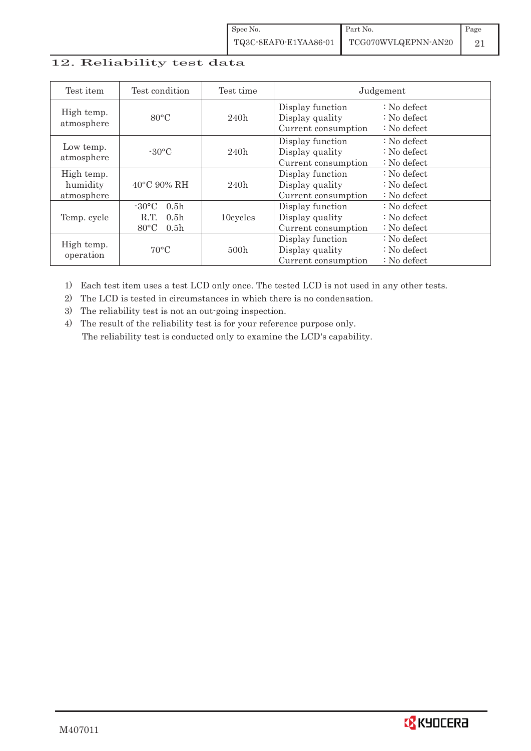| Spec No.              | Part No.            | Page |
|-----------------------|---------------------|------|
| TQ3C-8EAF0-E1YAA86-01 | TCG070WVLQEPNN-AN20 |      |

# 12. Reliability test data

| Test item                            | Test condition                                                                                       | Test time |                                                            | Judgement                                       |
|--------------------------------------|------------------------------------------------------------------------------------------------------|-----------|------------------------------------------------------------|-------------------------------------------------|
| High temp.<br>atmosphere             | $80^{\circ}$ C                                                                                       | 240h      | Display function<br>Display quality<br>Current consumption | $: No$ defect<br>$: No$ defect<br>$: No$ defect |
| Low temp.<br>atmosphere              | $-30\degree C$                                                                                       | 240h      | Display function<br>Display quality<br>Current consumption | $: No$ defect<br>$: No$ defect<br>$: No$ defect |
| High temp.<br>humidity<br>atmosphere | $40^{\circ}$ C 90% RH                                                                                | 240h      | Display function<br>Display quality<br>Current consumption | : No defect<br>$: No$ defect<br>$: No$ defect   |
| Temp. cycle                          | $-30\degree C$<br>0.5 <sub>h</sub><br>0.5 <sub>h</sub><br>R.T.<br>$80^{\circ}$ C<br>0.5 <sub>h</sub> | 10cycles  | Display function<br>Display quality<br>Current consumption | $: No$ defect<br>$: No$ defect<br>$: No$ defect |
| High temp.<br>operation              | $70^{\circ}$ C                                                                                       | 500h      | Display function<br>Display quality<br>Current consumption | $: No$ defect<br>$: No$ defect<br>$: No$ defect |

1) Each test item uses a test LCD only once. The tested LCD is not used in any other tests.

2) The LCD is tested in circumstances in which there is no condensation.

3) The reliability test is not an out-going inspection.

4) The result of the reliability test is for your reference purpose only. The reliability test is conducted only to examine the LCD's capability.

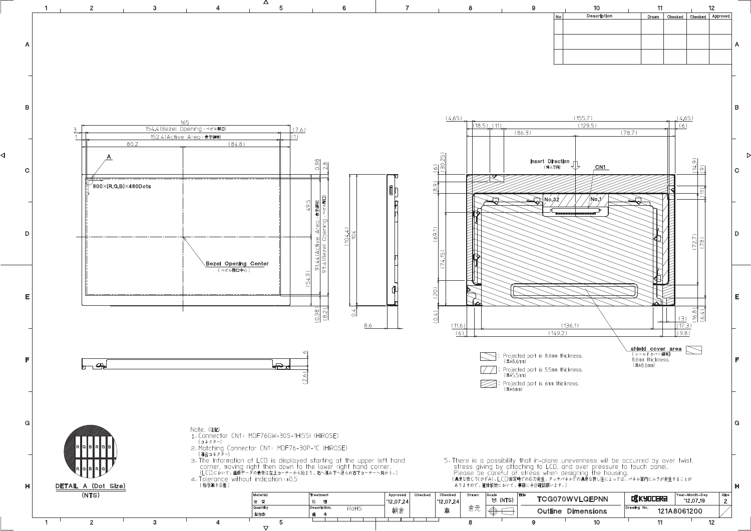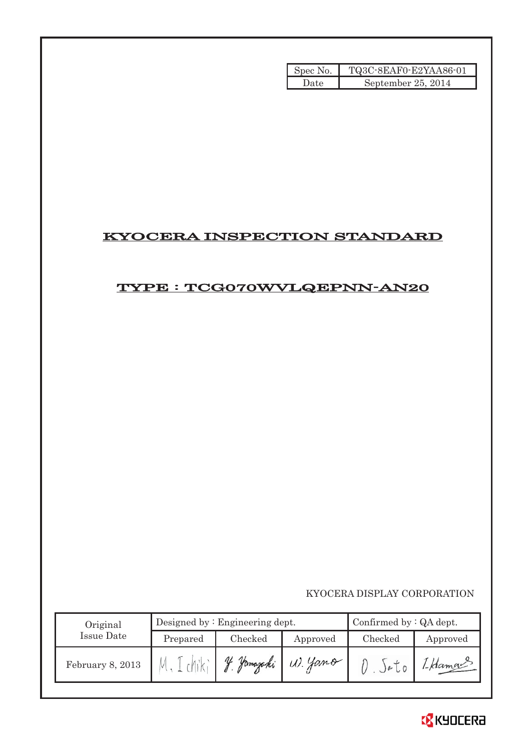| Spec No. | TQ3C-8EAF0-E2YAA86-01 |
|----------|-----------------------|
| Date     | September 25, 2014    |

# KYOCERA INSPECTION STANDARD

# TYPE : TCG070WVLQEPNN-AN20

KYOCERA DISPLAY CORPORATION

| Original         | Designed by: $Engineering$ dept. |               |          | Confirmed by $:QA$ dept. |          |  |
|------------------|----------------------------------|---------------|----------|--------------------------|----------|--|
| Issue Date       | Prepared                         | Checked       | Approved | Checked                  | Approved |  |
| February 8, 2013 |                                  | Hamazaki<br>V | W. Yano  | )e <sub>0</sub>          | 1-Hamour |  |

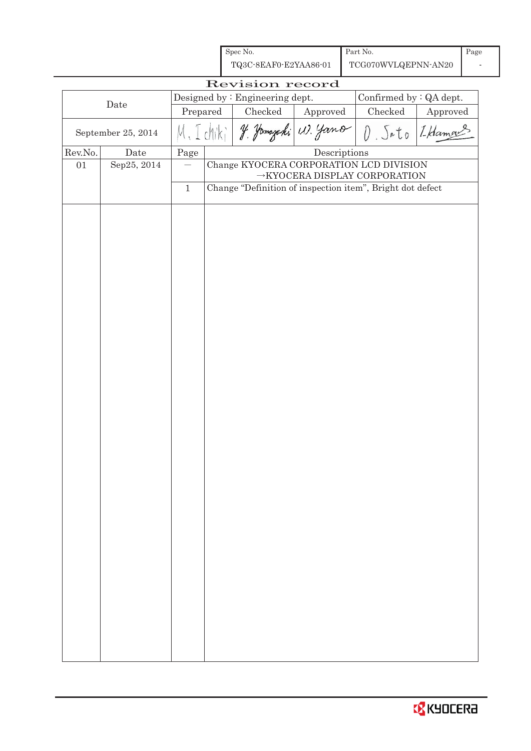| TQ3C-8EAF0-E2YAA86-01<br>TCG070WVLQEPNN-AN20<br>Revision record<br>Designed by : Engineering dept.<br>Confirmed by : QA dept.<br>Date<br>Checked<br>Prepared<br>$\rm Checked$<br>Approved<br>J. Jamszaki W. Yano<br>$D.$ $Sato$<br>dhik<br>September 25, 2014<br>$\label{eq:2} \textbf{Descriptions}$<br>Rev.No.<br>Date<br>Page<br>Sep25, 2014<br>Change KYOCERA CORPORATION LCD DIVISION<br>01<br>$\rightarrow$ KYOCERA DISPLAY CORPORATION<br>Change "Definition of inspection item", Bright dot defect<br>$\mathbf{1}$ |          |  |
|----------------------------------------------------------------------------------------------------------------------------------------------------------------------------------------------------------------------------------------------------------------------------------------------------------------------------------------------------------------------------------------------------------------------------------------------------------------------------------------------------------------------------|----------|--|
|                                                                                                                                                                                                                                                                                                                                                                                                                                                                                                                            |          |  |
|                                                                                                                                                                                                                                                                                                                                                                                                                                                                                                                            |          |  |
|                                                                                                                                                                                                                                                                                                                                                                                                                                                                                                                            | Approved |  |
|                                                                                                                                                                                                                                                                                                                                                                                                                                                                                                                            | I Hamor  |  |
|                                                                                                                                                                                                                                                                                                                                                                                                                                                                                                                            |          |  |
|                                                                                                                                                                                                                                                                                                                                                                                                                                                                                                                            |          |  |
|                                                                                                                                                                                                                                                                                                                                                                                                                                                                                                                            |          |  |
|                                                                                                                                                                                                                                                                                                                                                                                                                                                                                                                            |          |  |
|                                                                                                                                                                                                                                                                                                                                                                                                                                                                                                                            |          |  |
|                                                                                                                                                                                                                                                                                                                                                                                                                                                                                                                            |          |  |
|                                                                                                                                                                                                                                                                                                                                                                                                                                                                                                                            |          |  |
|                                                                                                                                                                                                                                                                                                                                                                                                                                                                                                                            |          |  |
|                                                                                                                                                                                                                                                                                                                                                                                                                                                                                                                            |          |  |
|                                                                                                                                                                                                                                                                                                                                                                                                                                                                                                                            |          |  |
|                                                                                                                                                                                                                                                                                                                                                                                                                                                                                                                            |          |  |
|                                                                                                                                                                                                                                                                                                                                                                                                                                                                                                                            |          |  |
|                                                                                                                                                                                                                                                                                                                                                                                                                                                                                                                            |          |  |
|                                                                                                                                                                                                                                                                                                                                                                                                                                                                                                                            |          |  |
|                                                                                                                                                                                                                                                                                                                                                                                                                                                                                                                            |          |  |
|                                                                                                                                                                                                                                                                                                                                                                                                                                                                                                                            |          |  |
|                                                                                                                                                                                                                                                                                                                                                                                                                                                                                                                            |          |  |
|                                                                                                                                                                                                                                                                                                                                                                                                                                                                                                                            |          |  |
|                                                                                                                                                                                                                                                                                                                                                                                                                                                                                                                            |          |  |
|                                                                                                                                                                                                                                                                                                                                                                                                                                                                                                                            |          |  |
|                                                                                                                                                                                                                                                                                                                                                                                                                                                                                                                            |          |  |
|                                                                                                                                                                                                                                                                                                                                                                                                                                                                                                                            |          |  |
|                                                                                                                                                                                                                                                                                                                                                                                                                                                                                                                            |          |  |
|                                                                                                                                                                                                                                                                                                                                                                                                                                                                                                                            |          |  |
|                                                                                                                                                                                                                                                                                                                                                                                                                                                                                                                            |          |  |
|                                                                                                                                                                                                                                                                                                                                                                                                                                                                                                                            |          |  |
|                                                                                                                                                                                                                                                                                                                                                                                                                                                                                                                            |          |  |
|                                                                                                                                                                                                                                                                                                                                                                                                                                                                                                                            |          |  |
|                                                                                                                                                                                                                                                                                                                                                                                                                                                                                                                            |          |  |
|                                                                                                                                                                                                                                                                                                                                                                                                                                                                                                                            |          |  |
|                                                                                                                                                                                                                                                                                                                                                                                                                                                                                                                            |          |  |
|                                                                                                                                                                                                                                                                                                                                                                                                                                                                                                                            |          |  |
|                                                                                                                                                                                                                                                                                                                                                                                                                                                                                                                            |          |  |
|                                                                                                                                                                                                                                                                                                                                                                                                                                                                                                                            |          |  |
|                                                                                                                                                                                                                                                                                                                                                                                                                                                                                                                            |          |  |
|                                                                                                                                                                                                                                                                                                                                                                                                                                                                                                                            |          |  |

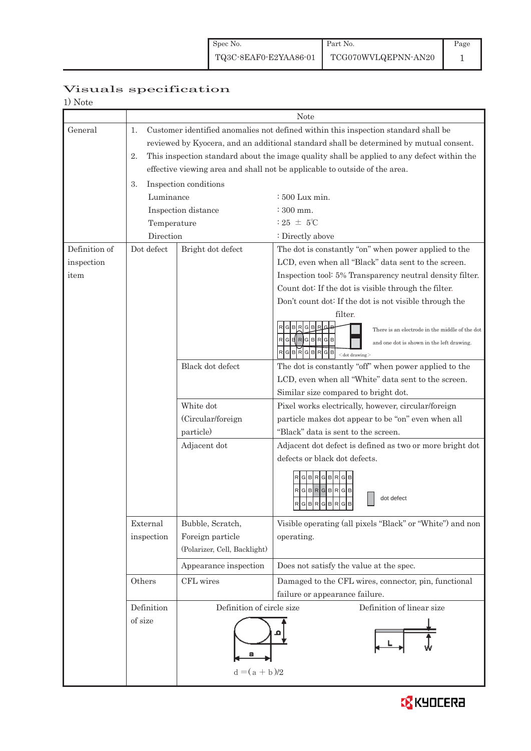# Visuals specification

|               |                  | Note                                                                                       |                                                                         |  |  |  |
|---------------|------------------|--------------------------------------------------------------------------------------------|-------------------------------------------------------------------------|--|--|--|
| General       | 1.               | Customer identified anomalies not defined within this inspection standard shall be         |                                                                         |  |  |  |
|               |                  | reviewed by Kyocera, and an additional standard shall be determined by mutual consent.     |                                                                         |  |  |  |
|               | 2.               | This inspection standard about the image quality shall be applied to any defect within the |                                                                         |  |  |  |
|               |                  | effective viewing area and shall not be applicable to outside of the area.                 |                                                                         |  |  |  |
|               | 3.               | Inspection conditions                                                                      |                                                                         |  |  |  |
|               | Luminance        |                                                                                            | $\div 500$ Lux min.                                                     |  |  |  |
|               |                  | Inspection distance                                                                        | $\div 300$ mm.                                                          |  |  |  |
|               | Temperature      |                                                                                            | $:25 \pm 5^{\circ}\text{C}$                                             |  |  |  |
|               | Direction        |                                                                                            | : Directly above                                                        |  |  |  |
| Definition of | Dot defect       | Bright dot defect                                                                          | The dot is constantly "on" when power applied to the                    |  |  |  |
| inspection    |                  |                                                                                            | LCD, even when all "Black" data sent to the screen.                     |  |  |  |
| item          |                  |                                                                                            | Inspection tool: 5% Transparency neutral density filter.                |  |  |  |
|               |                  |                                                                                            | Count dot: If the dot is visible through the filter.                    |  |  |  |
|               |                  |                                                                                            | Don't count dot: If the dot is not visible through the                  |  |  |  |
|               |                  |                                                                                            | filter.                                                                 |  |  |  |
|               |                  |                                                                                            | R G B<br>GIB.<br>There is an electrode in the middle of the dot         |  |  |  |
|               |                  |                                                                                            | GERGBRGB<br>and one dot is shown in the left drawing.                   |  |  |  |
|               |                  |                                                                                            | R<br>G<br>GBR<br>B<br>$<$ dot drawing $>$                               |  |  |  |
|               | Black dot defect |                                                                                            | The dot is constantly "off" when power applied to the                   |  |  |  |
|               |                  |                                                                                            | LCD, even when all "White" data sent to the screen.                     |  |  |  |
|               |                  |                                                                                            | Similar size compared to bright dot.                                    |  |  |  |
|               |                  | White dot                                                                                  | Pixel works electrically, however, circular/foreign                     |  |  |  |
|               |                  | (Circular/foreign                                                                          | particle makes dot appear to be "on" even when all                      |  |  |  |
|               |                  | particle)                                                                                  | "Black" data is sent to the screen.                                     |  |  |  |
|               | Adjacent dot     |                                                                                            | Adjacent dot defect is defined as two or more bright dot                |  |  |  |
|               |                  |                                                                                            | defects or black dot defects.                                           |  |  |  |
|               |                  |                                                                                            | RGBRGBRGB                                                               |  |  |  |
|               |                  |                                                                                            | RGBRGBRGB                                                               |  |  |  |
|               |                  |                                                                                            | dot defect<br>$R$ G $B$ R $G$ B $R$ G $B$                               |  |  |  |
|               | External         |                                                                                            |                                                                         |  |  |  |
|               | inspection       | Bubble, Scratch,<br>Foreign particle                                                       | Visible operating (all pixels "Black" or "White") and non<br>operating. |  |  |  |
|               |                  | (Polarizer, Cell, Backlight)                                                               |                                                                         |  |  |  |
|               |                  |                                                                                            |                                                                         |  |  |  |
|               |                  | Appearance inspection                                                                      | Does not satisfy the value at the spec.                                 |  |  |  |
| Others        |                  | CFL wires                                                                                  | Damaged to the CFL wires, connector, pin, functional                    |  |  |  |
|               |                  |                                                                                            | failure or appearance failure.                                          |  |  |  |
|               | Definition       | Definition of circle size<br>Definition of linear size                                     |                                                                         |  |  |  |
|               | of size          |                                                                                            |                                                                         |  |  |  |
|               |                  |                                                                                            |                                                                         |  |  |  |
|               |                  |                                                                                            |                                                                         |  |  |  |
|               |                  | $d = (a + b)/2$                                                                            |                                                                         |  |  |  |
|               |                  |                                                                                            |                                                                         |  |  |  |